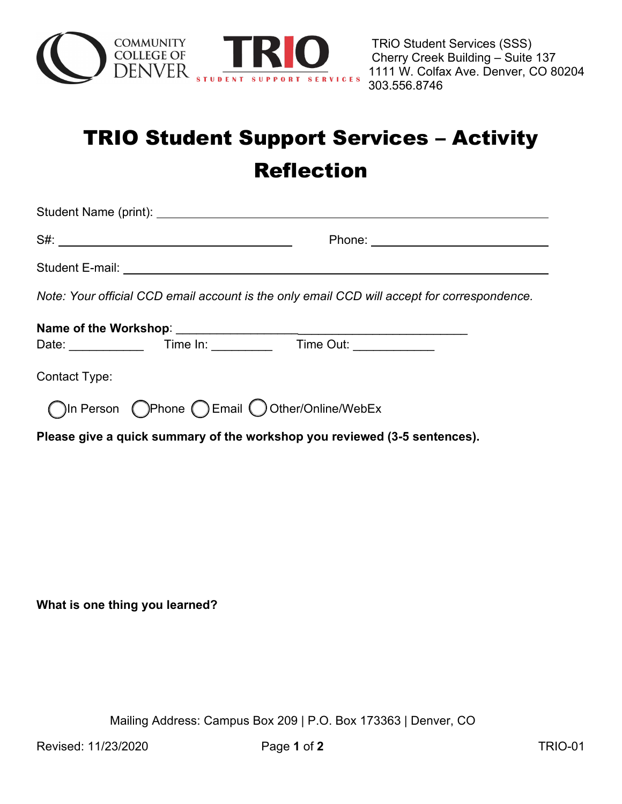

## TRIO Student Support Services – Activity Reflection

| Note: Your official CCD email account is the only email CCD will accept for correspondence. |  |
|---------------------------------------------------------------------------------------------|--|
|                                                                                             |  |
|                                                                                             |  |
| Contact Type:                                                                               |  |
| ◯In Person  ◯Phone  ◯ Email  ◯ Other/Online/WebEx                                           |  |
| Please give a quick summary of the workshop you reviewed (3-5 sentences).                   |  |
|                                                                                             |  |

**What is one thing you learned?**

Mailing Address: Campus Box 209 | P.O. Box 173363 | Denver, CO